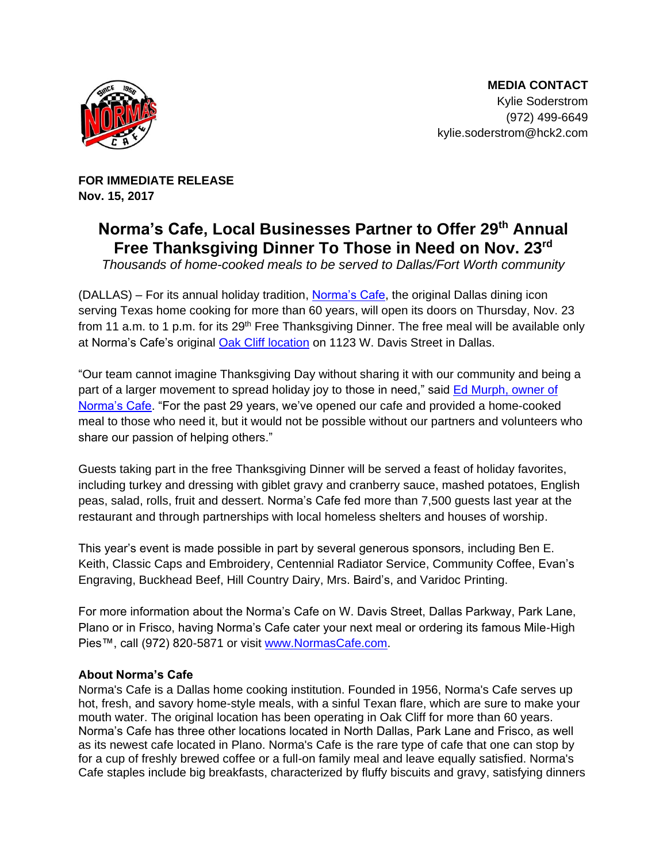

 **MEDIA CONTACT** Kylie Soderstrom (972) 499-6649 kylie.soderstrom@hck2.com

**FOR IMMEDIATE RELEASE Nov. 15, 2017**

## **Norma's Cafe, Local Businesses Partner to Offer 29th Annual Free Thanksgiving Dinner To Those in Need on Nov. 23 rd**

*Thousands of home-cooked meals to be served to Dallas/Fort Worth community*

(DALLAS) – For its annual holiday tradition, [Norma's Cafe,](http://www.normascafe.com/) the original Dallas dining icon serving Texas home cooking for more than 60 years, will open its doors on Thursday, Nov. 23 from 11 a.m. to 1 p.m. for its 29<sup>th</sup> Free Thanksgiving Dinner. The free meal will be available only at Norma's Cafe's original [Oak Cliff location](http://normascafe.com/locations/) on 1123 W. Davis Street in Dallas.

"Our team cannot imagine Thanksgiving Day without sharing it with our community and being a part of a larger movement to spread holiday joy to those in need," said Ed Murph, owner of [Norma's Cafe.](http://normascafe.com/about/) "For the past 29 years, we've opened our cafe and provided a home-cooked meal to those who need it, but it would not be possible without our partners and volunteers who share our passion of helping others."

Guests taking part in the free Thanksgiving Dinner will be served a feast of holiday favorites, including turkey and dressing with giblet gravy and cranberry sauce, mashed potatoes, English peas, salad, rolls, fruit and dessert. Norma's Cafe fed more than 7,500 guests last year at the restaurant and through partnerships with local homeless shelters and houses of worship.

This year's event is made possible in part by several generous sponsors, including Ben E. Keith, Classic Caps and Embroidery, Centennial Radiator Service, Community Coffee, Evan's Engraving, Buckhead Beef, Hill Country Dairy, Mrs. Baird's, and Varidoc Printing.

For more information about the Norma's Cafe on W. Davis Street, Dallas Parkway, Park Lane, Plano or in Frisco, having Norma's Cafe cater your next meal or ordering its famous Mile-High Pies™, call (972) 820-5871 or visit [www.NormasCafe.com.](http://www.normascafe.com/)

## **About Norma's Cafe**

Norma's Cafe is a Dallas home cooking institution. Founded in 1956, Norma's Cafe serves up hot, fresh, and savory home-style meals, with a sinful Texan flare, which are sure to make your mouth water. The original location has been operating in Oak Cliff for more than 60 years. Norma's Cafe has three other locations located in North Dallas, Park Lane and Frisco, as well as its newest cafe located in Plano. Norma's Cafe is the rare type of cafe that one can stop by for a cup of freshly brewed coffee or a full-on family meal and leave equally satisfied. Norma's Cafe staples include big breakfasts, characterized by fluffy biscuits and gravy, satisfying dinners